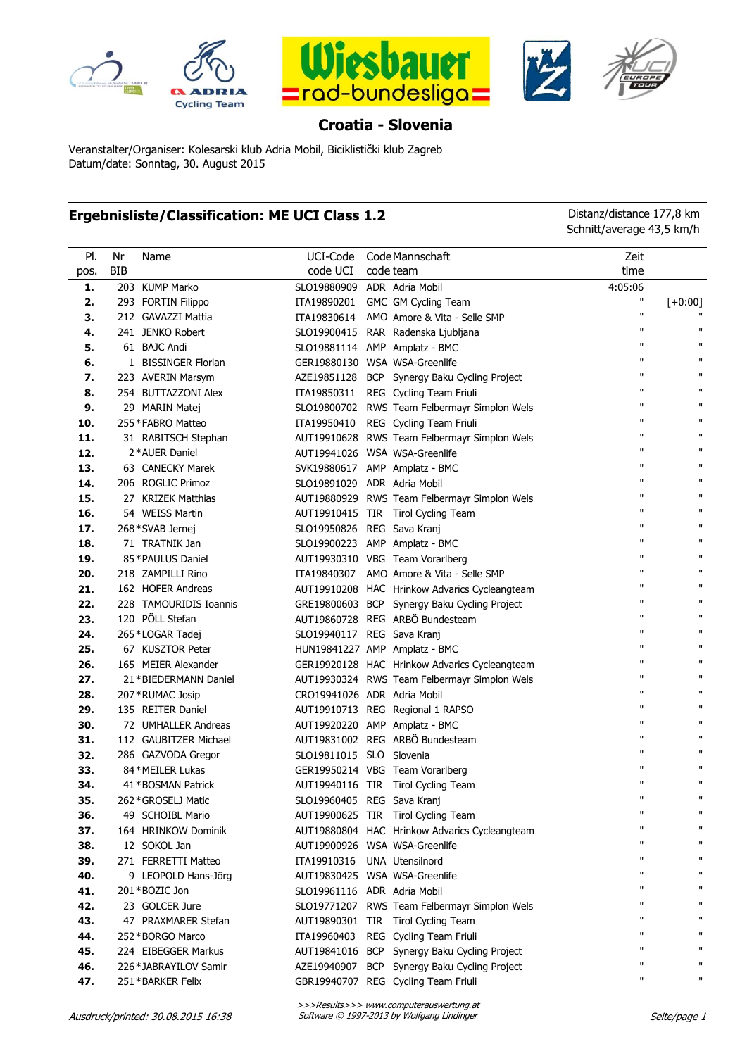







## **Croatia - Slovenia**

Veranstalter/Organiser: Kolesarski klub Adria Mobil, Biciklistički klub Zagreb Datum/date: Sonntag, 30. August 2015

## **Ergebnisliste/Classification: ME UCI Class 1.2** Distanz/distance 177,8 km

Schnitt/average 43,5 km/h

| PI.  | Nr         | Name                   | UCI-Code                      | Code Mannschaft                               | Zeit               |              |
|------|------------|------------------------|-------------------------------|-----------------------------------------------|--------------------|--------------|
| pos. | <b>BIB</b> |                        | code UCI                      | code team                                     | time               |              |
| 1.   |            | 203 KUMP Marko         | SLO19880909                   | ADR Adria Mobil                               | 4:05:06            |              |
| 2.   |            | 293 FORTIN Filippo     | ITA19890201                   | GMC GM Cycling Team                           | Π                  | $[+0:00]$    |
| 3.   |            | 212 GAVAZZI Mattia     | ITA19830614                   | AMO Amore & Vita - Selle SMP                  | $\pmb{\mathsf{H}}$ |              |
| 4.   |            | 241 JENKO Robert       |                               | SLO19900415 RAR Radenska Ljubljana            | $\pmb{\mathsf{H}}$ | п            |
| 5.   |            | 61 BAJC Andi           |                               | SLO19881114 AMP Amplatz - BMC                 | п                  | п            |
| 6.   |            | 1 BISSINGER Florian    | GER19880130 WSA WSA-Greenlife |                                               | п                  | п            |
| 7.   |            | 223 AVERIN Marsym      | AZE19851128                   | BCP Synergy Baku Cycling Project              | п                  | п            |
| 8.   |            | 254 BUTTAZZONI Alex    | ITA19850311                   | REG Cycling Team Friuli                       | п                  | п            |
| 9.   |            | 29 MARIN Matej         | SLO19800702                   | RWS Team Felbermayr Simplon Wels              | п                  | п            |
| 10.  |            | 255 * FABRO Matteo     | ITA19950410                   | REG Cycling Team Friuli                       | $\pmb{\mathsf{H}}$ | п            |
| 11.  |            | 31 RABITSCH Stephan    |                               | AUT19910628 RWS Team Felbermayr Simplon Wels  | $\mathbf{u}$       | п            |
| 12.  |            | 2*AUER Daniel          | AUT19941026 WSA WSA-Greenlife |                                               | $\mathbf{u}$       | п            |
| 13.  |            | 63 CANECKY Marek       |                               | SVK19880617 AMP Amplatz - BMC                 | п                  | п            |
| 14.  |            | 206 ROGLIC Primoz      | SLO19891029 ADR Adria Mobil   |                                               | п                  | п            |
| 15.  |            | 27 KRIZEK Matthias     |                               | AUT19880929 RWS Team Felbermayr Simplon Wels  | п                  | п            |
| 16.  |            | 54 WEISS Martin        |                               | AUT19910415 TIR Tirol Cycling Team            | п                  | п            |
| 17.  |            | 268*SVAB Jernej        | SLO19950826                   | REG Sava Kranj                                | $\mathbf{u}$       | п            |
| 18.  |            | 71 TRATNIK Jan         |                               | SLO19900223 AMP Amplatz - BMC                 | $\mathbf{u}$       | п            |
| 19.  |            | 85*PAULUS Daniel       |                               | AUT19930310 VBG Team Vorarlberg               | $\mathbf{u}$       | $\mathbf{H}$ |
| 20.  |            | 218 ZAMPILLI Rino      | ITA19840307                   | AMO Amore & Vita - Selle SMP                  | $\mathbf{u}$       | $\mathbf{H}$ |
| 21.  |            | 162 HOFER Andreas      |                               | AUT19910208 HAC Hrinkow Advarics Cycleangteam | $\mathbf{u}$       | п            |
| 22.  |            | 228 TAMOURIDIS Ioannis |                               | GRE19800603 BCP Synergy Baku Cycling Project  | $\mathbf{u}$       | п            |
| 23.  |            | 120 PÖLL Stefan        |                               | AUT19860728 REG ARBÖ Bundesteam               | $\mathbf{u}$       | п            |
| 24.  |            | 265*LOGAR Tadej        | SLO19940117 REG Sava Kranj    |                                               | $\mathbf{u}$       | п            |
| 25.  |            | 67 KUSZTOR Peter       |                               | HUN19841227 AMP Amplatz - BMC                 | $\mathbf{u}$       | п            |
| 26.  |            | 165 MEIER Alexander    |                               | GER19920128 HAC Hrinkow Advarics Cycleangteam | $\mathbf{u}$       | п            |
| 27.  |            | 21 * BIEDERMANN Daniel |                               | AUT19930324 RWS Team Felbermayr Simplon Wels  | $\mathbf{u}$       | п            |
| 28.  |            | 207 * RUMAC Josip      | CRO19941026 ADR Adria Mobil   |                                               | $\mathbf{u}$       | п            |
| 29.  |            | 135 REITER Daniel      |                               | AUT19910713 REG Regional 1 RAPSO              | $\mathbf{u}$       | п            |
| 30.  |            | 72 UMHALLER Andreas    |                               | AUT19920220 AMP Amplatz - BMC                 | $\mathbf{u}$       | п            |
| 31.  |            | 112 GAUBITZER Michael  |                               | AUT19831002 REG ARBÖ Bundesteam               | $\mathbf{u}$       | $\mathbf{u}$ |
| 32.  |            | 286 GAZVODA Gregor     | SLO19811015 SLO Slovenia      |                                               | $\mathbf{u}$       | $\mathbf{u}$ |
| 33.  |            | 84 * MEILER Lukas      |                               | GER19950214 VBG Team Vorarlberg               | $\mathbf{u}$       | п            |
| 34.  |            | 41*BOSMAN Patrick      |                               | AUT19940116 TIR Tirol Cycling Team            | п<br>$\mathbf{u}$  | п            |
| 35.  |            | 262 * GROSELJ Matic    | SLO19960405 REG Sava Kranj    |                                               |                    | п            |
| 36.  |            | 49 SCHOIBL Mario       |                               | AUT19900625 TIR Tirol Cycling Team            | п                  | п            |
| 37.  |            | 164 HRINKOW Dominik    |                               | AUT19880804 HAC Hrinkow Advarics Cycleangteam | П                  | п            |
| 38.  |            | 12 SOKOL Jan           | AUT19900926                   | WSA WSA-Greenlife                             | π<br>π             | п<br>п       |
| 39.  |            | 271 FERRETTI Matteo    | ITA19910316                   | <b>UNA Utensilnord</b>                        |                    |              |
| 40.  |            | 9 LEOPOLD Hans-Jörg    | AUT19830425                   | WSA WSA-Greenlife                             | π                  | п<br>п       |
| 41.  |            | 201*BOZIC Jon          | SLO19961116                   | ADR Adria Mobil                               |                    | п            |
| 42.  |            | 23 GOLCER Jure         | SLO19771207                   | RWS Team Felbermayr Simplon Wels              |                    | п            |
| 43.  |            | 47 PRAXMARER Stefan    | AUT19890301                   | TIR Tirol Cycling Team                        |                    | п            |
| 44.  |            | 252 * BORGO Marco      | ITA19960403                   | REG Cycling Team Friuli                       |                    | п            |
| 45.  |            | 224 EIBEGGER Markus    | AUT19841016                   | BCP Synergy Baku Cycling Project              | $\mathbf{u}$       | п            |
| 46.  |            | 226 * JABRAYILOV Samir | AZE19940907                   | BCP Synergy Baku Cycling Project              | п                  | п            |
| 47.  |            | 251 * BARKER Felix     |                               | GBR19940707 REG Cycling Team Friuli           |                    |              |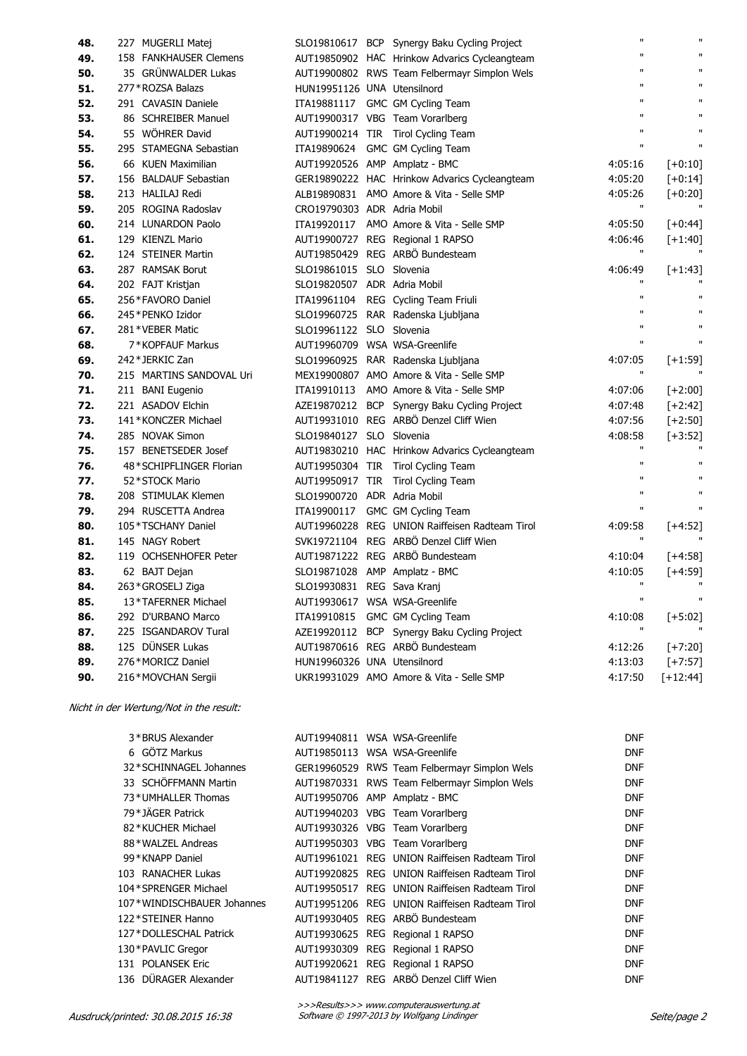| 48. | 227 MUGERLI Matej        |                             | SLO19810617 BCP Synergy Baku Cycling Project   | $\mathbf{u}$ | $\mathbf{u}$ |
|-----|--------------------------|-----------------------------|------------------------------------------------|--------------|--------------|
| 49. | 158 FANKHAUSER Clemens   |                             | AUT19850902 HAC Hrinkow Advarics Cycleangteam  | $\mathbf{u}$ | $\mathbf{u}$ |
| 50. | 35 GRÜNWALDER Lukas      |                             | AUT19900802 RWS Team Felbermayr Simplon Wels   | Ħ            | $\mathbf{u}$ |
| 51. | 277 * ROZSA Balazs       | HUN19951126 UNA Utensilnord |                                                | $\mathbf{u}$ | $\mathbf{u}$ |
| 52. | 291 CAVASIN Daniele      |                             | ITA19881117 GMC GM Cycling Team                | $\mathbf{u}$ | $\mathbf{H}$ |
| 53. | 86 SCHREIBER Manuel      |                             | AUT19900317 VBG Team Vorarlberg                | Ħ            | $\mathbf{u}$ |
| 54. | 55 WÖHRER David          |                             | AUT19900214 TIR Tirol Cycling Team             | Ħ            | $\mathbf{u}$ |
| 55. | 295 STAMEGNA Sebastian   |                             | ITA19890624 GMC GM Cycling Team                | $\mathbf{u}$ | $\mathbf{u}$ |
| 56. | 66 KUEN Maximilian       |                             | AUT19920526 AMP Amplatz - BMC                  | 4:05:16      | $[-6:10]$    |
| 57. | 156 BALDAUF Sebastian    |                             | GER19890222 HAC Hrinkow Advarics Cycleangteam  | 4:05:20      | $[-6:14]$    |
| 58. | 213 HALILAJ Redi         |                             | ALB19890831 AMO Amore & Vita - Selle SMP       | 4:05:26      | $[-0:20]$    |
| 59. | 205 ROGINA Radoslav      | CRO19790303 ADR Adria Mobil |                                                | $\mathbf{u}$ |              |
| 60. | 214 LUNARDON Paolo       |                             | ITA19920117 AMO Amore & Vita - Selle SMP       | 4:05:50      | $[-10:44]$   |
| 61. | 129 KIENZL Mario         |                             | AUT19900727 REG Regional 1 RAPSO               | 4:06:46      | $[-1:40]$    |
| 62. | 124 STEINER Martin       |                             | AUT19850429 REG ARBÖ Bundesteam                | $\mathbf{u}$ |              |
| 63. | 287 RAMSAK Borut         | SLO19861015 SLO Slovenia    |                                                | 4:06:49      | $[-1:43]$    |
| 64. | 202 FAJT Kristjan        | SLO19820507 ADR Adria Mobil |                                                | $\mathbf{u}$ |              |
| 65. | 256*FAVORO Daniel        | ITA19961104                 | REG Cycling Team Friuli                        | $\mathbf{u}$ | $\mathbf{u}$ |
| 66. | 245 * PENKO Izidor       |                             | SLO19960725 RAR Radenska Ljubljana             | $\mathbf{u}$ | $\mathbf{u}$ |
| 67. | 281 * VEBER Matic        | SLO19961122 SLO Slovenia    |                                                | $\mathbf{u}$ | $\mathbf{u}$ |
| 68. | 7*KOPFAUF Markus         |                             | AUT19960709 WSA WSA-Greenlife                  | Ħ            | $\mathbf{u}$ |
| 69. | 242 * JERKIC Zan         |                             | SLO19960925 RAR Radenska Ljubljana             | 4:07:05      | $[+1:59]$    |
| 70. | 215 MARTINS SANDOVAL Uri |                             | MEX19900807 AMO Amore & Vita - Selle SMP       | Ħ            |              |
| 71. | 211 BANI Eugenio         | ITA19910113                 | AMO Amore & Vita - Selle SMP                   | 4:07:06      | $[-2:00]$    |
| 72. | 221 ASADOV Elchin        |                             | AZE19870212 BCP Synergy Baku Cycling Project   | 4:07:48      | $[+2:42]$    |
| 73. | 141*KONCZER Michael      |                             | AUT19931010 REG ARBÖ Denzel Cliff Wien         | 4:07:56      | $[+2:50]$    |
| 74. | 285 NOVAK Simon          | SLO19840127 SLO Slovenia    |                                                | 4:08:58      | $[-13:52]$   |
| 75. | 157 BENETSEDER Josef     |                             | AUT19830210 HAC Hrinkow Advarics Cycleangteam  | П            |              |
| 76. | 48*SCHIPFLINGER Florian  |                             | AUT19950304 TIR Tirol Cycling Team             | $\mathbf{u}$ | $\mathbf{u}$ |
| 77. | 52*STOCK Mario           |                             | AUT19950917 TIR Tirol Cycling Team             | $\mathbf{u}$ | $\mathbf{u}$ |
| 78. | 208 STIMULAK Klemen      | SLO19900720 ADR Adria Mobil |                                                | $\mathbf{u}$ | $\mathbf{u}$ |
| 79. | 294 RUSCETTA Andrea      | ITA19900117                 | GMC GM Cycling Team                            | $\mathbf{u}$ | $\mathbf{u}$ |
| 80. | 105*TSCHANY Daniel       |                             | AUT19960228 REG UNION Raiffeisen Radteam Tirol | 4:09:58      | $[+4:52]$    |
| 81. | 145 NAGY Robert          |                             | SVK19721104 REG ARBÖ Denzel Cliff Wien         | $\mathbf{u}$ | $\mathbf{u}$ |
| 82. | 119 OCHSENHOFER Peter    |                             | AUT19871222 REG ARBÖ Bundesteam                | 4:10:04      | $[-4:58]$    |
| 83. | 62 BAJT Dejan            |                             | SLO19871028 AMP Amplatz - BMC                  | 4:10:05      | $[+4:59]$    |
| 84. | 263 * GROSELJ Ziga       | SLO19930831 REG Sava Kranj  |                                                | $\mathbf{u}$ |              |
| 85. | 13*TAFERNER Michael      |                             | AUT19930617 WSA WSA-Greenlife                  | $\mathbf{u}$ | $\mathbf{u}$ |
| 86. | 292 D'URBANO Marco       |                             | ITA19910815 GMC GM Cycling Team                | 4:10:08      | $[-5:02]$    |
| 87. | 225 ISGANDAROV Tural     |                             | AZE19920112 BCP Synergy Baku Cycling Project   | $\mathbf{H}$ |              |
| 88. | 125 DÜNSER Lukas         |                             | AUT19870616 REG ARBÖ Bundesteam                | 4:12:26      | $[-7:20]$    |
| 89. | 276*MORICZ Daniel        | HUN19960326 UNA Utensilnord |                                                | 4:13:03      | $[+7:57]$    |
| 90. | 216*MOVCHAN Sergii       |                             | UKR19931029 AMO Amore & Vita - Selle SMP       | 4:17:50      | $[+12:44]$   |

## Nicht in der Wertung/Not in the result:

| 3*BRUS Alexander           | AUT19940811 WSA WSA-Greenlife |                                                | <b>DNF</b> |
|----------------------------|-------------------------------|------------------------------------------------|------------|
| 6 GÖTZ Markus              | AUT19850113 WSA WSA-Greenlife |                                                | <b>DNF</b> |
| 32 * SCHINNAGEL Johannes   |                               | GER19960529 RWS Team Felbermayr Simplon Wels   | <b>DNF</b> |
| 33 SCHÖFFMANN Martin       |                               | AUT19870331 RWS Team Felbermayr Simplon Wels   | <b>DNF</b> |
| 73*UMHALLER Thomas         |                               | AUT19950706 AMP Amplatz - BMC                  | <b>DNF</b> |
| 79*JÄGER Patrick           |                               | AUT19940203 VBG Team Vorarlberg                | <b>DNF</b> |
| 82 * KUCHER Michael        |                               | AUT19930326 VBG Team Vorarlberg                | <b>DNF</b> |
| 88*WALZEL Andreas          |                               | AUT19950303 VBG Team Vorarlberg                | <b>DNF</b> |
| 99 * KNAPP Daniel          |                               | AUT19961021 REG UNION Raiffeisen Radteam Tirol | <b>DNF</b> |
| 103 RANACHER Lukas         |                               | AUT19920825 REG UNION Raiffeisen Radteam Tirol | <b>DNF</b> |
| 104 * SPRENGER Michael     |                               | AUT19950517 REG UNION Raiffeisen Radteam Tirol | <b>DNF</b> |
| 107*WINDISCHBAUER Johannes |                               | AUT19951206 REG UNION Raiffeisen Radteam Tirol | <b>DNF</b> |
| 122*STEINER Hanno          |                               | AUT19930405 REG ARBÖ Bundesteam                | <b>DNF</b> |
| 127*DOLLESCHAL Patrick     |                               | AUT19930625 REG Regional 1 RAPSO               | <b>DNF</b> |
| 130*PAVLIC Gregor          |                               | AUT19930309 REG Regional 1 RAPSO               | <b>DNF</b> |
| 131 POLANSEK Eric          |                               | AUT19920621 REG Regional 1 RAPSO               | <b>DNF</b> |
| 136 DÜRAGER Alexander      |                               | AUT19841127 REG ARBÖ Denzel Cliff Wien         | <b>DNF</b> |
|                            |                               |                                                |            |

>>>Results>>> www.computerauswertung.at